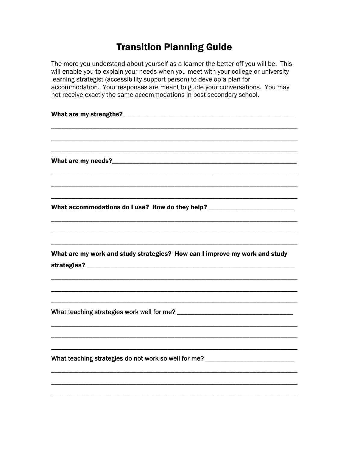## **Transition Planning Guide**

The more you understand about yourself as a learner the better off you will be. This will enable you to explain your needs when you meet with your college or university learning strategist (accessibility support person) to develop a plan for accommodation. Your responses are meant to guide your conversations. You may not receive exactly the same accommodations in post-secondary school.

| What accommodations do I use? How do they help? ________________________________ |  |
|----------------------------------------------------------------------------------|--|
|                                                                                  |  |
|                                                                                  |  |
|                                                                                  |  |
| What are my work and study strategies? How can I improve my work and study       |  |
|                                                                                  |  |
|                                                                                  |  |
|                                                                                  |  |
|                                                                                  |  |
|                                                                                  |  |
|                                                                                  |  |
|                                                                                  |  |
|                                                                                  |  |
| What teaching strategies do not work so well for me? ___________________________ |  |
|                                                                                  |  |
|                                                                                  |  |
|                                                                                  |  |
|                                                                                  |  |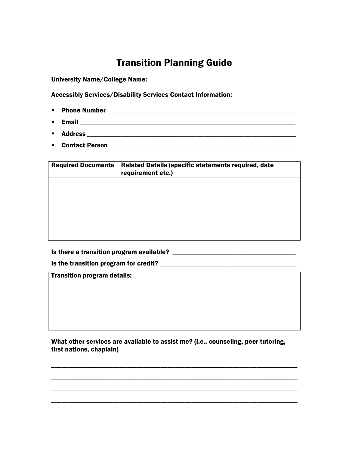## Transition Planning Guide

University Name/College Name:

Accessibly Services/Disability Services Contact Information:

- Phone Number \_\_\_\_\_\_\_\_\_\_\_\_\_\_\_\_\_\_\_\_\_\_\_\_\_\_\_\_\_\_\_\_\_\_\_\_\_\_\_\_\_\_\_\_\_\_\_\_\_\_\_\_\_\_\_
- Email \_\_\_\_\_\_\_\_\_\_\_\_\_\_\_\_\_\_\_\_\_\_\_\_\_\_\_\_\_\_\_\_\_\_\_\_\_\_\_\_\_\_\_\_\_\_\_\_\_\_\_\_\_\_\_\_\_\_\_\_\_\_\_
- Address \_\_\_\_\_\_\_\_\_\_\_\_\_\_\_\_\_\_\_\_\_\_\_\_\_\_\_\_\_\_\_\_\_\_\_\_\_\_\_\_\_\_\_\_\_\_\_\_\_\_\_\_\_\_\_\_\_\_\_\_\_
- Contact Person \_\_\_\_\_\_\_\_\_\_\_\_\_\_\_\_\_\_\_\_\_\_\_\_\_\_\_\_\_\_\_\_\_\_\_\_\_\_\_\_\_\_\_\_\_\_\_\_\_\_\_\_\_\_

| <b>Required Documents</b> | Related Details (specific statements required, date<br>requirement etc.) |
|---------------------------|--------------------------------------------------------------------------|
|                           |                                                                          |
|                           |                                                                          |
|                           |                                                                          |
|                           |                                                                          |

Is there a transition program available? \_\_\_\_\_\_\_\_\_\_\_\_\_\_\_\_\_\_\_\_\_\_\_\_\_\_\_\_\_\_\_\_\_\_\_\_

Is the transition program for credit? \_\_\_\_\_\_\_\_\_\_\_\_\_\_\_\_\_\_\_\_\_\_\_\_\_\_\_\_\_\_\_\_\_\_\_\_\_\_\_\_

Transition program details:

What other services are available to assist me? (i.e., counseling, peer tutoring, first nations, chaplain)

\_\_\_\_\_\_\_\_\_\_\_\_\_\_\_\_\_\_\_\_\_\_\_\_\_\_\_\_\_\_\_\_\_\_\_\_\_\_\_\_\_\_\_\_\_\_\_\_\_\_\_\_\_\_\_\_\_\_\_\_\_\_\_\_\_\_\_\_\_\_\_\_

\_\_\_\_\_\_\_\_\_\_\_\_\_\_\_\_\_\_\_\_\_\_\_\_\_\_\_\_\_\_\_\_\_\_\_\_\_\_\_\_\_\_\_\_\_\_\_\_\_\_\_\_\_\_\_\_\_\_\_\_\_\_\_\_\_\_\_\_\_\_\_\_

\_\_\_\_\_\_\_\_\_\_\_\_\_\_\_\_\_\_\_\_\_\_\_\_\_\_\_\_\_\_\_\_\_\_\_\_\_\_\_\_\_\_\_\_\_\_\_\_\_\_\_\_\_\_\_\_\_\_\_\_\_\_\_\_\_\_\_\_\_\_\_\_

\_\_\_\_\_\_\_\_\_\_\_\_\_\_\_\_\_\_\_\_\_\_\_\_\_\_\_\_\_\_\_\_\_\_\_\_\_\_\_\_\_\_\_\_\_\_\_\_\_\_\_\_\_\_\_\_\_\_\_\_\_\_\_\_\_\_\_\_\_\_\_\_